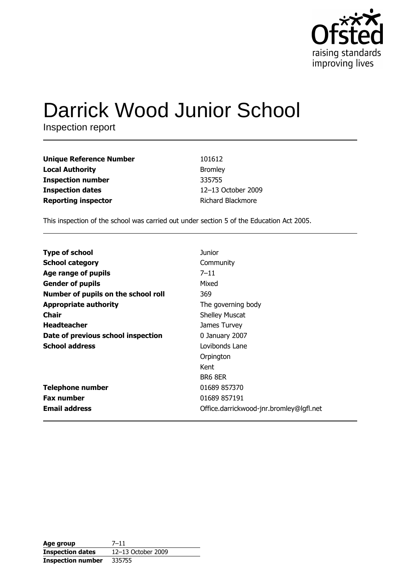

# **Darrick Wood Junior School**

Inspection report

| <b>Unique Reference Number</b> | 101612                   |
|--------------------------------|--------------------------|
| <b>Local Authority</b>         | <b>Bromley</b>           |
| <b>Inspection number</b>       | 335755                   |
| <b>Inspection dates</b>        | 12-13 October 2009       |
| <b>Reporting inspector</b>     | <b>Richard Blackmore</b> |

This inspection of the school was carried out under section 5 of the Education Act 2005.

| <b>Type of school</b>               | <b>Junior</b>                           |
|-------------------------------------|-----------------------------------------|
| <b>School category</b>              | Community                               |
| Age range of pupils                 | $7 - 11$                                |
| <b>Gender of pupils</b>             | Mixed                                   |
| Number of pupils on the school roll | 369                                     |
| <b>Appropriate authority</b>        | The governing body                      |
| Chair                               | <b>Shelley Muscat</b>                   |
| <b>Headteacher</b>                  | James Turvey                            |
| Date of previous school inspection  | 0 January 2007                          |
| <b>School address</b>               | Lovibonds Lane                          |
|                                     | Orpington                               |
|                                     | Kent                                    |
|                                     | BR6 8ER                                 |
| <b>Telephone number</b>             | 01689 857370                            |
| <b>Fax number</b>                   | 01689 857191                            |
| <b>Email address</b>                | Office.darrickwood-jnr.bromley@lgfl.net |

| Age group                | $7 - 11$           |
|--------------------------|--------------------|
| <b>Inspection dates</b>  | 12-13 October 2009 |
| <b>Inspection number</b> | 335755             |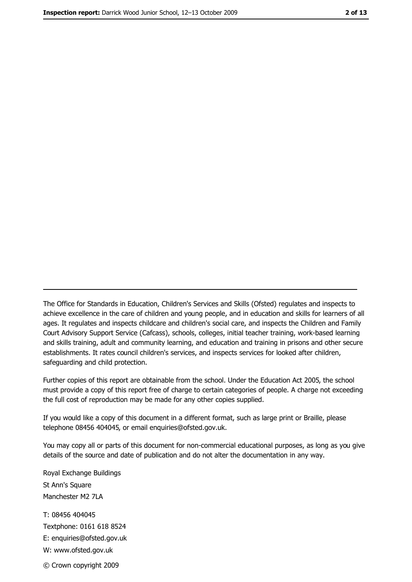The Office for Standards in Education, Children's Services and Skills (Ofsted) regulates and inspects to achieve excellence in the care of children and young people, and in education and skills for learners of all ages. It regulates and inspects childcare and children's social care, and inspects the Children and Family Court Advisory Support Service (Cafcass), schools, colleges, initial teacher training, work-based learning and skills training, adult and community learning, and education and training in prisons and other secure establishments. It rates council children's services, and inspects services for looked after children, safequarding and child protection.

Further copies of this report are obtainable from the school. Under the Education Act 2005, the school must provide a copy of this report free of charge to certain categories of people. A charge not exceeding the full cost of reproduction may be made for any other copies supplied.

If you would like a copy of this document in a different format, such as large print or Braille, please telephone 08456 404045, or email enquiries@ofsted.gov.uk.

You may copy all or parts of this document for non-commercial educational purposes, as long as you give details of the source and date of publication and do not alter the documentation in any way.

Royal Exchange Buildings St Ann's Square Manchester M2 7LA T: 08456 404045 Textphone: 0161 618 8524 E: enquiries@ofsted.gov.uk W: www.ofsted.gov.uk © Crown copyright 2009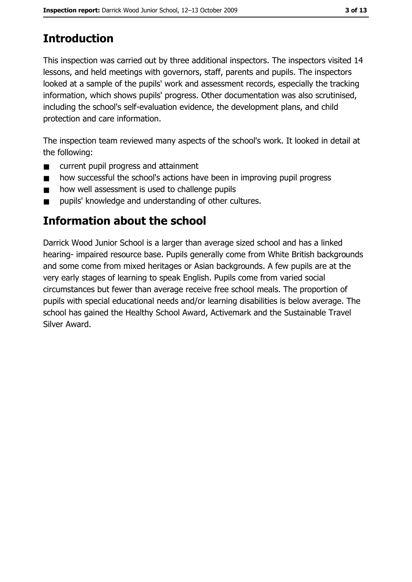# **Introduction**

This inspection was carried out by three additional inspectors. The inspectors visited 14 lessons, and held meetings with governors, staff, parents and pupils. The inspectors looked at a sample of the pupils' work and assessment records, especially the tracking information, which shows pupils' progress. Other documentation was also scrutinised, including the school's self-evaluation evidence, the development plans, and child protection and care information.

The inspection team reviewed many aspects of the school's work. It looked in detail at the following:

- current pupil progress and attainment  $\blacksquare$
- how successful the school's actions have been in improving pupil progress  $\blacksquare$
- how well assessment is used to challenge pupils  $\blacksquare$
- pupils' knowledge and understanding of other cultures.  $\blacksquare$

## Information about the school

Darrick Wood Junior School is a larger than average sized school and has a linked hearing- impaired resource base. Pupils generally come from White British backgrounds and some come from mixed heritages or Asian backgrounds. A few pupils are at the very early stages of learning to speak English. Pupils come from varied social circumstances but fewer than average receive free school meals. The proportion of pupils with special educational needs and/or learning disabilities is below average. The school has gained the Healthy School Award, Activemark and the Sustainable Travel Silver Award.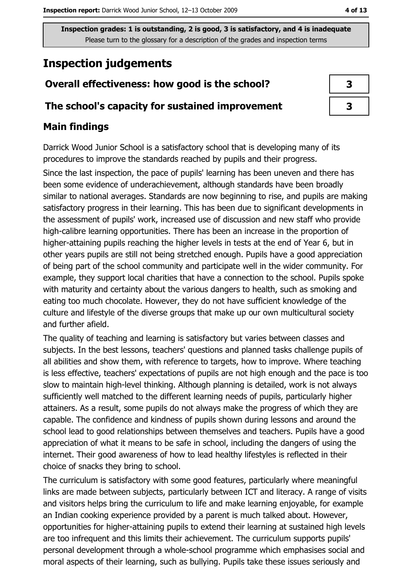## **Inspection judgements**

#### Overall effectiveness: how good is the school?

#### The school's capacity for sustained improvement

#### **Main findings**

Darrick Wood Junior School is a satisfactory school that is developing many of its procedures to improve the standards reached by pupils and their progress.

Since the last inspection, the pace of pupils' learning has been uneven and there has been some evidence of underachievement, although standards have been broadly similar to national averages. Standards are now beginning to rise, and pupils are making satisfactory progress in their learning. This has been due to significant developments in the assessment of pupils' work, increased use of discussion and new staff who provide high-calibre learning opportunities. There has been an increase in the proportion of higher-attaining pupils reaching the higher levels in tests at the end of Year 6, but in other years pupils are still not being stretched enough. Pupils have a good appreciation of being part of the school community and participate well in the wider community. For example, they support local charities that have a connection to the school. Pupils spoke with maturity and certainty about the various dangers to health, such as smoking and eating too much chocolate. However, they do not have sufficient knowledge of the culture and lifestyle of the diverse groups that make up our own multicultural society and further afield.

The quality of teaching and learning is satisfactory but varies between classes and subjects. In the best lessons, teachers' questions and planned tasks challenge pupils of all abilities and show them, with reference to targets, how to improve. Where teaching is less effective, teachers' expectations of pupils are not high enough and the pace is too slow to maintain high-level thinking. Although planning is detailed, work is not always sufficiently well matched to the different learning needs of pupils, particularly higher attainers. As a result, some pupils do not always make the progress of which they are capable. The confidence and kindness of pupils shown during lessons and around the school lead to good relationships between themselves and teachers. Pupils have a good appreciation of what it means to be safe in school, including the dangers of using the internet. Their good awareness of how to lead healthy lifestyles is reflected in their choice of snacks they bring to school.

The curriculum is satisfactory with some good features, particularly where meaningful links are made between subjects, particularly between ICT and literacy. A range of visits and visitors helps bring the curriculum to life and make learning enjovable, for example an Indian cooking experience provided by a parent is much talked about. However, opportunities for higher-attaining pupils to extend their learning at sustained high levels are too infrequent and this limits their achievement. The curriculum supports pupils' personal development through a whole-school programme which emphasises social and moral aspects of their learning, such as bullying. Pupils take these issues seriously and

| 3 |
|---|
| 3 |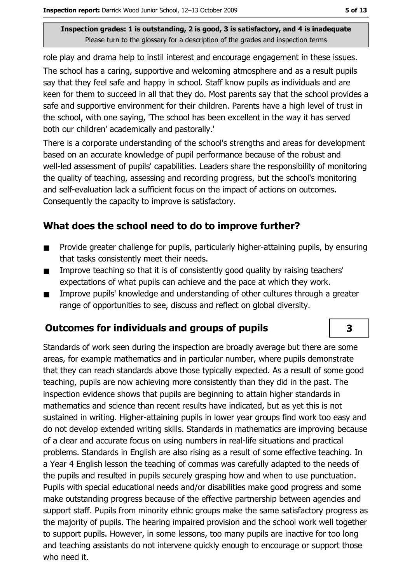role play and drama help to instil interest and encourage engagement in these issues.

The school has a caring, supportive and welcoming atmosphere and as a result pupils say that they feel safe and happy in school. Staff know pupils as individuals and are keen for them to succeed in all that they do. Most parents say that the school provides a safe and supportive environment for their children. Parents have a high level of trust in the school, with one saying, 'The school has been excellent in the way it has served both our children' academically and pastorally.'

There is a corporate understanding of the school's strengths and areas for development based on an accurate knowledge of pupil performance because of the robust and well-led assessment of pupils' capabilities. Leaders share the responsibility of monitoring the quality of teaching, assessing and recording progress, but the school's monitoring and self-evaluation lack a sufficient focus on the impact of actions on outcomes. Consequently the capacity to improve is satisfactory.

#### What does the school need to do to improve further?

- Provide greater challenge for pupils, particularly higher-attaining pupils, by ensuring  $\blacksquare$ that tasks consistently meet their needs.
- Improve teaching so that it is of consistently good quality by raising teachers'  $\blacksquare$ expectations of what pupils can achieve and the pace at which they work.
- Improve pupils' knowledge and understanding of other cultures through a greater  $\blacksquare$ range of opportunities to see, discuss and reflect on global diversity.

#### **Outcomes for individuals and groups of pupils**

Standards of work seen during the inspection are broadly average but there are some areas, for example mathematics and in particular number, where pupils demonstrate that they can reach standards above those typically expected. As a result of some good teaching, pupils are now achieving more consistently than they did in the past. The inspection evidence shows that pupils are beginning to attain higher standards in mathematics and science than recent results have indicated, but as vet this is not sustained in writing. Higher-attaining pupils in lower year groups find work too easy and do not develop extended writing skills. Standards in mathematics are improving because of a clear and accurate focus on using numbers in real-life situations and practical problems. Standards in English are also rising as a result of some effective teaching. In a Year 4 English lesson the teaching of commas was carefully adapted to the needs of the pupils and resulted in pupils securely grasping how and when to use punctuation. Pupils with special educational needs and/or disabilities make good progress and some make outstanding progress because of the effective partnership between agencies and support staff. Pupils from minority ethnic groups make the same satisfactory progress as the majority of pupils. The hearing impaired provision and the school work well together to support pupils. However, in some lessons, too many pupils are inactive for too long and teaching assistants do not intervene quickly enough to encourage or support those who need it.

3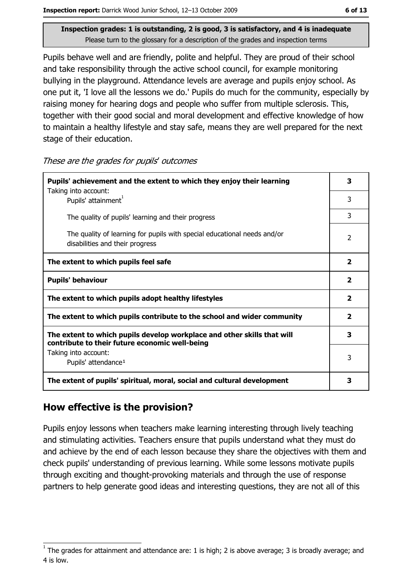Pupils behave well and are friendly, polite and helpful. They are proud of their school and take responsibility through the active school council, for example monitoring bullying in the playground. Attendance levels are average and pupils enjoy school. As one put it, 'I love all the lessons we do.' Pupils do much for the community, especially by raising money for hearing dogs and people who suffer from multiple sclerosis. This, together with their good social and moral development and effective knowledge of how to maintain a healthy lifestyle and stay safe, means they are well prepared for the next stage of their education.

These are the grades for pupils' outcomes

| Pupils' achievement and the extent to which they enjoy their learning                                                     |   |
|---------------------------------------------------------------------------------------------------------------------------|---|
| Taking into account:<br>Pupils' attainment <sup>1</sup>                                                                   | 3 |
| The quality of pupils' learning and their progress                                                                        | 3 |
| The quality of learning for pupils with special educational needs and/or<br>disabilities and their progress               |   |
| The extent to which pupils feel safe                                                                                      |   |
| <b>Pupils' behaviour</b>                                                                                                  |   |
| The extent to which pupils adopt healthy lifestyles                                                                       |   |
| The extent to which pupils contribute to the school and wider community                                                   |   |
| The extent to which pupils develop workplace and other skills that will<br>contribute to their future economic well-being |   |
| Taking into account:                                                                                                      | 3 |
| Pupils' attendance <sup>1</sup>                                                                                           |   |
| The extent of pupils' spiritual, moral, social and cultural development                                                   |   |

#### How effective is the provision?

Pupils enjoy lessons when teachers make learning interesting through lively teaching and stimulating activities. Teachers ensure that pupils understand what they must do and achieve by the end of each lesson because they share the objectives with them and check pupils' understanding of previous learning. While some lessons motivate pupils through exciting and thought-provoking materials and through the use of response partners to help generate good ideas and interesting questions, they are not all of this

The grades for attainment and attendance are: 1 is high; 2 is above average; 3 is broadly average; and 4 is low.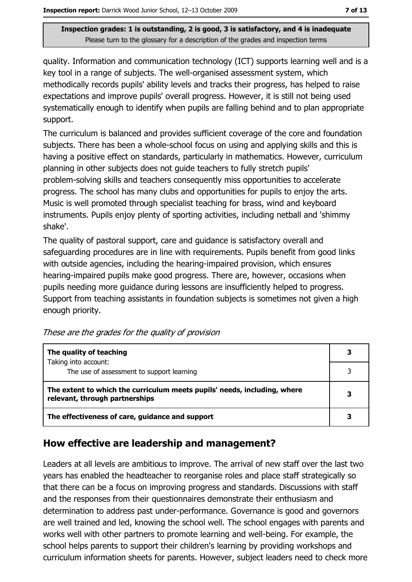quality. Information and communication technology (ICT) supports learning well and is a key tool in a range of subjects. The well-organised assessment system, which methodically records pupils' ability levels and tracks their progress, has helped to raise expectations and improve pupils' overall progress. However, it is still not being used systematically enough to identify when pupils are falling behind and to plan appropriate support.

The curriculum is balanced and provides sufficient coverage of the core and foundation subjects. There has been a whole-school focus on using and applying skills and this is having a positive effect on standards, particularly in mathematics. However, curriculum planning in other subjects does not quide teachers to fully stretch pupils' problem-solving skills and teachers consequently miss opportunities to accelerate progress. The school has many clubs and opportunities for pupils to enjoy the arts. Music is well promoted through specialist teaching for brass, wind and keyboard instruments. Pupils enjoy plenty of sporting activities, including netball and 'shimmy shake'.

The quality of pastoral support, care and quidance is satisfactory overall and safeguarding procedures are in line with requirements. Pupils benefit from good links with outside agencies, including the hearing-impaired provision, which ensures hearing-impaired pupils make good progress. There are, however, occasions when pupils needing more quidance during lessons are insufficiently helped to progress. Support from teaching assistants in foundation subjects is sometimes not given a high enough priority.

| The quality of teaching                                                                                    |  |
|------------------------------------------------------------------------------------------------------------|--|
| Taking into account:<br>The use of assessment to support learning                                          |  |
| The extent to which the curriculum meets pupils' needs, including, where<br>relevant, through partnerships |  |
| The effectiveness of care, guidance and support                                                            |  |

These are the grades for the quality of provision

## How effective are leadership and management?

Leaders at all levels are ambitious to improve. The arrival of new staff over the last two years has enabled the headteacher to reorganise roles and place staff strategically so that there can be a focus on improving progress and standards. Discussions with staff and the responses from their questionnaires demonstrate their enthusiasm and determination to address past under-performance. Governance is good and governors are well trained and led, knowing the school well. The school engages with parents and works well with other partners to promote learning and well-being. For example, the school helps parents to support their children's learning by providing workshops and curriculum information sheets for parents. However, subject leaders need to check more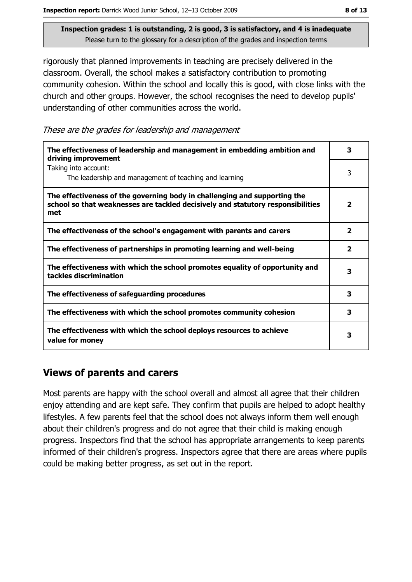rigorously that planned improvements in teaching are precisely delivered in the classroom. Overall, the school makes a satisfactory contribution to promoting community cohesion. Within the school and locally this is good, with close links with the church and other groups. However, the school recognises the need to develop pupils' understanding of other communities across the world.

These are the grades for leadership and management

| The effectiveness of leadership and management in embedding ambition and<br>driving improvement                                                                     |                         |
|---------------------------------------------------------------------------------------------------------------------------------------------------------------------|-------------------------|
| Taking into account:<br>The leadership and management of teaching and learning                                                                                      | 3                       |
| The effectiveness of the governing body in challenging and supporting the<br>school so that weaknesses are tackled decisively and statutory responsibilities<br>met | $\overline{\mathbf{2}}$ |
| The effectiveness of the school's engagement with parents and carers                                                                                                | 2                       |
| The effectiveness of partnerships in promoting learning and well-being                                                                                              | $\overline{\mathbf{2}}$ |
| The effectiveness with which the school promotes equality of opportunity and<br>tackles discrimination                                                              | 3                       |
| The effectiveness of safeguarding procedures                                                                                                                        | з                       |
| The effectiveness with which the school promotes community cohesion                                                                                                 | 3                       |
| The effectiveness with which the school deploys resources to achieve<br>value for money                                                                             | 3                       |

#### **Views of parents and carers**

Most parents are happy with the school overall and almost all agree that their children enjoy attending and are kept safe. They confirm that pupils are helped to adopt healthy lifestyles. A few parents feel that the school does not always inform them well enough about their children's progress and do not agree that their child is making enough progress. Inspectors find that the school has appropriate arrangements to keep parents informed of their children's progress. Inspectors agree that there are areas where pupils could be making better progress, as set out in the report.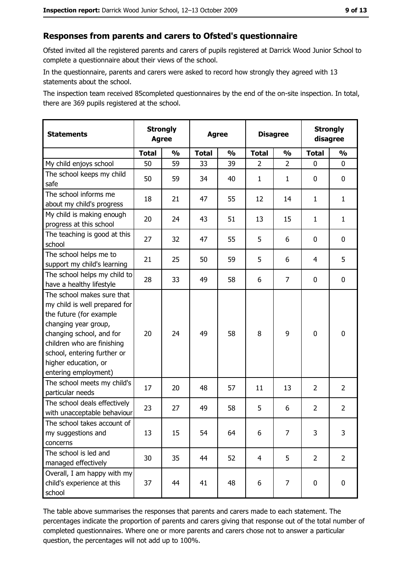## Responses from parents and carers to Ofsted's questionnaire

Ofsted invited all the registered parents and carers of pupils registered at Darrick Wood Junior School to complete a questionnaire about their views of the school.

In the questionnaire, parents and carers were asked to record how strongly they agreed with 13 statements about the school.

The inspection team received 85completed questionnaires by the end of the on-site inspection. In total, there are 369 pupils registered at the school.

| <b>Statements</b>                                                                                                                                                                                                                                       | <b>Strongly</b><br><b>Agree</b> |               | <b>Agree</b> |               | <b>Disagree</b> |                | <b>Strongly</b><br>disagree |                |
|---------------------------------------------------------------------------------------------------------------------------------------------------------------------------------------------------------------------------------------------------------|---------------------------------|---------------|--------------|---------------|-----------------|----------------|-----------------------------|----------------|
|                                                                                                                                                                                                                                                         | <b>Total</b>                    | $\frac{0}{0}$ | <b>Total</b> | $\frac{0}{0}$ | <b>Total</b>    | $\frac{0}{0}$  | <b>Total</b>                | $\frac{1}{2}$  |
| My child enjoys school                                                                                                                                                                                                                                  | 50                              | 59            | 33           | 39            | $\overline{2}$  | $\overline{2}$ | $\mathbf{0}$                | 0              |
| The school keeps my child<br>safe                                                                                                                                                                                                                       | 50                              | 59            | 34           | 40            | $\mathbf{1}$    | $\mathbf{1}$   | 0                           | $\mathbf 0$    |
| The school informs me<br>about my child's progress                                                                                                                                                                                                      | 18                              | 21            | 47           | 55            | 12              | 14             | 1                           | $\mathbf{1}$   |
| My child is making enough<br>progress at this school                                                                                                                                                                                                    | 20                              | 24            | 43           | 51            | 13              | 15             | 1                           | $\mathbf{1}$   |
| The teaching is good at this<br>school                                                                                                                                                                                                                  | 27                              | 32            | 47           | 55            | 5               | 6              | $\Omega$                    | 0              |
| The school helps me to<br>support my child's learning                                                                                                                                                                                                   | 21                              | 25            | 50           | 59            | 5               | 6              | 4                           | 5              |
| The school helps my child to<br>have a healthy lifestyle                                                                                                                                                                                                | 28                              | 33            | 49           | 58            | 6               | $\overline{7}$ | 0                           | $\mathbf 0$    |
| The school makes sure that<br>my child is well prepared for<br>the future (for example<br>changing year group,<br>changing school, and for<br>children who are finishing<br>school, entering further or<br>higher education, or<br>entering employment) | 20                              | 24            | 49           | 58            | 8               | 9              | $\mathbf 0$                 | $\mathbf 0$    |
| The school meets my child's<br>particular needs                                                                                                                                                                                                         | 17                              | 20            | 48           | 57            | 11              | 13             | $\overline{2}$              | $\overline{2}$ |
| The school deals effectively<br>with unacceptable behaviour                                                                                                                                                                                             | 23                              | 27            | 49           | 58            | 5               | 6              | 2                           | $\overline{2}$ |
| The school takes account of<br>my suggestions and<br>concerns                                                                                                                                                                                           | 13                              | 15            | 54           | 64            | 6               | 7              | 3                           | 3              |
| The school is led and<br>managed effectively                                                                                                                                                                                                            | 30                              | 35            | 44           | 52            | $\overline{4}$  | 5              | $\overline{2}$              | $\overline{2}$ |
| Overall, I am happy with my<br>child's experience at this<br>school                                                                                                                                                                                     | 37                              | 44            | 41           | 48            | 6               | 7              | $\mathbf 0$                 | $\mathbf 0$    |

The table above summarises the responses that parents and carers made to each statement. The percentages indicate the proportion of parents and carers giving that response out of the total number of completed questionnaires. Where one or more parents and carers chose not to answer a particular question, the percentages will not add up to 100%.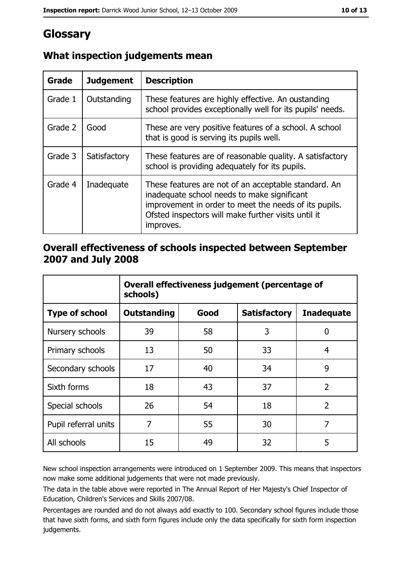# Glossary

| Grade   | <b>Judgement</b> | <b>Description</b>                                                                                                                                                                                                               |
|---------|------------------|----------------------------------------------------------------------------------------------------------------------------------------------------------------------------------------------------------------------------------|
| Grade 1 | Outstanding      | These features are highly effective. An oustanding<br>school provides exceptionally well for its pupils' needs.                                                                                                                  |
| Grade 2 | Good             | These are very positive features of a school. A school<br>that is good is serving its pupils well.                                                                                                                               |
| Grade 3 | Satisfactory     | These features are of reasonable quality. A satisfactory<br>school is providing adequately for its pupils.                                                                                                                       |
| Grade 4 | Inadequate       | These features are not of an acceptable standard. An<br>inadequate school needs to make significant<br>improvement in order to meet the needs of its pupils.<br>Ofsted inspectors will make further visits until it<br>improves. |

## What inspection judgements mean

#### Overall effectiveness of schools inspected between September 2007 and July 2008

|                       | Overall effectiveness judgement (percentage of<br>schools) |      |                     |                   |
|-----------------------|------------------------------------------------------------|------|---------------------|-------------------|
| <b>Type of school</b> | <b>Outstanding</b>                                         | Good | <b>Satisfactory</b> | <b>Inadequate</b> |
| Nursery schools       | 39                                                         | 58   | 3                   | 0                 |
| Primary schools       | 13                                                         | 50   | 33                  | 4                 |
| Secondary schools     | 17                                                         | 40   | 34                  | 9                 |
| Sixth forms           | 18                                                         | 43   | 37                  | $\overline{2}$    |
| Special schools       | 26                                                         | 54   | 18                  | $\overline{2}$    |
| Pupil referral units  | 7                                                          | 55   | 30                  | 7                 |
| All schools           | 15                                                         | 49   | 32                  | 5                 |

New school inspection arrangements were introduced on 1 September 2009. This means that inspectors now make some additional judgements that were not made previously.

The data in the table above were reported in The Annual Report of Her Majesty's Chief Inspector of Education, Children's Services and Skills 2007/08.

Percentages are rounded and do not always add exactly to 100. Secondary school figures include those that have sixth forms, and sixth form figures include only the data specifically for sixth form inspection judgements.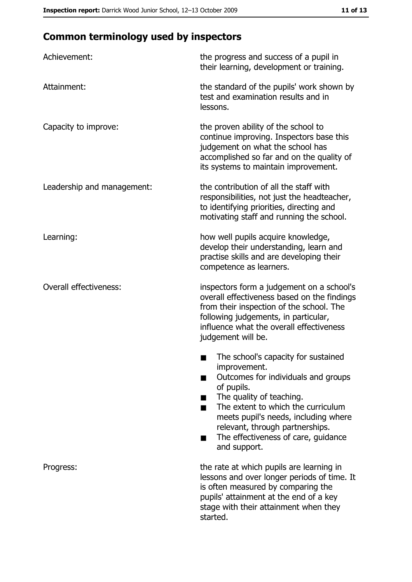# **Common terminology used by inspectors**

| Achievement:                  | the progress and success of a pupil in<br>their learning, development or training.                                                                                                                                                                                                                           |
|-------------------------------|--------------------------------------------------------------------------------------------------------------------------------------------------------------------------------------------------------------------------------------------------------------------------------------------------------------|
| Attainment:                   | the standard of the pupils' work shown by<br>test and examination results and in<br>lessons.                                                                                                                                                                                                                 |
| Capacity to improve:          | the proven ability of the school to<br>continue improving. Inspectors base this<br>judgement on what the school has<br>accomplished so far and on the quality of<br>its systems to maintain improvement.                                                                                                     |
| Leadership and management:    | the contribution of all the staff with<br>responsibilities, not just the headteacher,<br>to identifying priorities, directing and<br>motivating staff and running the school.                                                                                                                                |
| Learning:                     | how well pupils acquire knowledge,<br>develop their understanding, learn and<br>practise skills and are developing their<br>competence as learners.                                                                                                                                                          |
| <b>Overall effectiveness:</b> | inspectors form a judgement on a school's<br>overall effectiveness based on the findings<br>from their inspection of the school. The<br>following judgements, in particular,<br>influence what the overall effectiveness<br>judgement will be.                                                               |
|                               | The school's capacity for sustained<br>improvement.<br>Outcomes for individuals and groups<br>of pupils.<br>The quality of teaching.<br>The extent to which the curriculum<br>meets pupil's needs, including where<br>relevant, through partnerships.<br>The effectiveness of care, guidance<br>and support. |
| Progress:                     | the rate at which pupils are learning in<br>lessons and over longer periods of time. It<br>is often measured by comparing the<br>pupils' attainment at the end of a key<br>stage with their attainment when they<br>started.                                                                                 |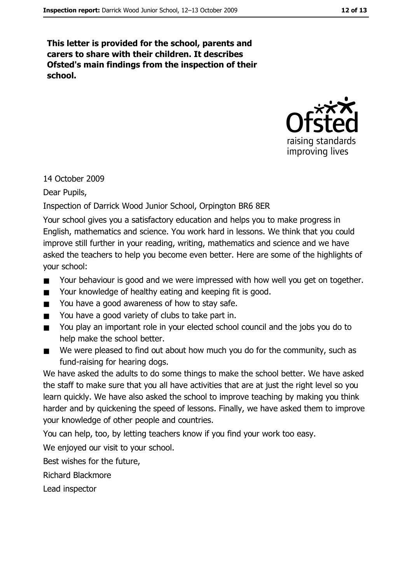This letter is provided for the school, parents and carers to share with their children. It describes Ofsted's main findings from the inspection of their school.



#### 14 October 2009

Dear Pupils,

#### Inspection of Darrick Wood Junior School, Orpington BR6 8ER

Your school gives you a satisfactory education and helps you to make progress in English, mathematics and science. You work hard in lessons. We think that you could improve still further in your reading, writing, mathematics and science and we have asked the teachers to help you become even better. Here are some of the highlights of your school:

- Your behaviour is good and we were impressed with how well you get on together.
- Your knowledge of healthy eating and keeping fit is good.  $\blacksquare$
- You have a good awareness of how to stay safe.
- You have a good variety of clubs to take part in.  $\blacksquare$
- You play an important role in your elected school council and the jobs you do to  $\blacksquare$ help make the school better.
- We were pleased to find out about how much you do for the community, such as  $\blacksquare$ fund-raising for hearing dogs.

We have asked the adults to do some things to make the school better. We have asked the staff to make sure that you all have activities that are at just the right level so you learn quickly. We have also asked the school to improve teaching by making you think harder and by quickening the speed of lessons. Finally, we have asked them to improve vour knowledge of other people and countries.

You can help, too, by letting teachers know if you find your work too easy.

We enjoyed our visit to your school.

Best wishes for the future,

**Richard Blackmore** 

Lead inspector